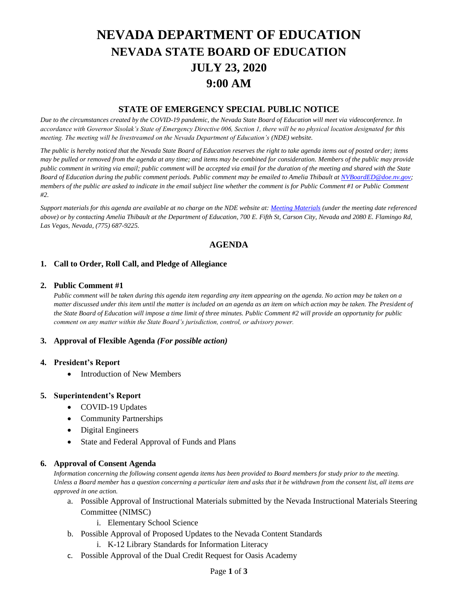# **NEVADA DEPARTMENT OF EDUCATION NEVADA STATE BOARD OF EDUCATION JULY 23, 2020 9:00 AM**

## **STATE OF EMERGENCY SPECIAL PUBLIC NOTICE**

*Due to the circumstances created by the COVID-19 pandemic, the Nevada State Board of Education will meet via videoconference. In accordance with Governor Sisolak's State of Emergency Directive 006, Section 1, there will be no physical location designated for this meeting. The meeting will be livestreamed on the Nevada Department of Education's (NDE) website.* 

*The public is hereby noticed that the Nevada State Board of Education reserves the right to take agenda items out of posted order; items may be pulled or removed from the agenda at any time; and items may be combined for consideration. Members of the public may provide public comment in writing via email; public comment will be accepted via email for the duration of the meeting and shared with the State Board of Education during the public comment periods. Public comment may be emailed to Amelia Thibault at [NVBoardED@doe.nv.gov;](mailto:NVBoardED@doe.nv.gov) members of the public are asked to indicate in the email subject line whether the comment is for Public Comment #1 or Public Comment #2.* 

*Support materials for this agenda are available at no charge on the NDE website at[: Meeting Materials](http://www.doe.nv.gov/Boards_Commissions_Councils/State_Board_of_Education/Meeting_Materials/) (under the meeting date referenced above) or by contacting Amelia Thibault at the Department of Education, 700 E. Fifth St, Carson City, Nevada and 2080 E. Flamingo Rd, Las Vegas, Nevada, (775) 687-9225.*

# **AGENDA**

## **1. Call to Order, Roll Call, and Pledge of Allegiance**

#### **2. Public Comment #1**

*Public comment will be taken during this agenda item regarding any item appearing on the agenda. No action may be taken on a matter discussed under this item until the matter is included on an agenda as an item on which action may be taken. The President of the State Board of Education will impose a time limit of three minutes. Public Comment #2 will provide an opportunity for public comment on any matter within the State Board's jurisdiction, control, or advisory power.*

## **3. Approval of Flexible Agenda** *(For possible action)*

#### **4. President's Report**

• Introduction of New Members

## **5. Superintendent's Report**

- COVID-19 Updates
- Community Partnerships
- Digital Engineers
- State and Federal Approval of Funds and Plans

## **6. Approval of Consent Agenda**

*Information concerning the following consent agenda items has been provided to Board members for study prior to the meeting. Unless a Board member has a question concerning a particular item and asks that it be withdrawn from the consent list, all items are approved in one action.* 

- a. Possible Approval of Instructional Materials submitted by the Nevada Instructional Materials Steering Committee (NIMSC)
	- i. Elementary School Science
- b. Possible Approval of Proposed Updates to the Nevada Content Standards
	- i. K-12 Library Standards for Information Literacy
- c. Possible Approval of the Dual Credit Request for Oasis Academy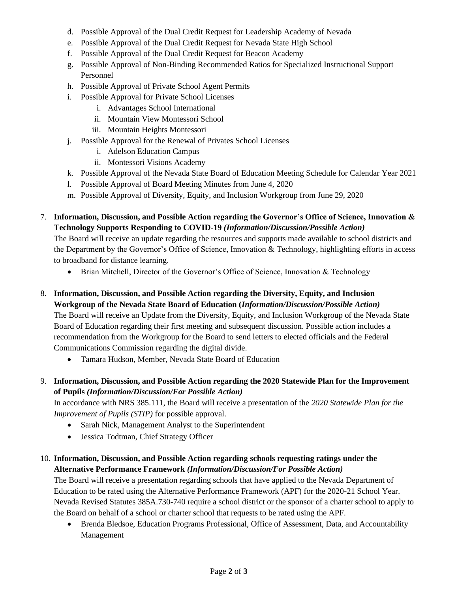- d. Possible Approval of the Dual Credit Request for Leadership Academy of Nevada
- e. Possible Approval of the Dual Credit Request for Nevada State High School
- f. Possible Approval of the Dual Credit Request for Beacon Academy
- g. Possible Approval of Non-Binding Recommended Ratios for Specialized Instructional Support Personnel
- h. Possible Approval of Private School Agent Permits
- i. Possible Approval for Private School Licenses
	- i. Advantages School International
	- ii. Mountain View Montessori School
	- iii. Mountain Heights Montessori
- j. Possible Approval for the Renewal of Privates School Licenses
	- i. Adelson Education Campus
	- ii. Montessori Visions Academy
- k. Possible Approval of the Nevada State Board of Education Meeting Schedule for Calendar Year 2021
- l. Possible Approval of Board Meeting Minutes from June 4, 2020
- m. Possible Approval of Diversity, Equity, and Inclusion Workgroup from June 29, 2020
- 7. **Information, Discussion, and Possible Action regarding the Governor's Office of Science, Innovation & Technology Supports Responding to COVID-19** *(Information/Discussion/Possible Action)*

The Board will receive an update regarding the resources and supports made available to school districts and the Department by the Governor's Office of Science, Innovation & Technology, highlighting efforts in access to broadband for distance learning.

- Brian Mitchell, Director of the Governor's Office of Science, Innovation & Technology
- 8. **Information, Discussion, and Possible Action regarding the Diversity, Equity, and Inclusion Workgroup of the Nevada State Board of Education (***Information/Discussion/Possible Action)* The Board will receive an Update from the Diversity, Equity, and Inclusion Workgroup of the Nevada State Board of Education regarding their first meeting and subsequent discussion. Possible action includes a recommendation from the Workgroup for the Board to send letters to elected officials and the Federal Communications Commission regarding the digital divide.
	- Tamara Hudson, Member, Nevada State Board of Education
- 9. **Information, Discussion, and Possible Action regarding the 2020 Statewide Plan for the Improvement of Pupils** *(Information/Discussion/For Possible Action)*

In accordance with NRS 385.111, the Board will receive a presentation of the *2020 Statewide Plan for the Improvement of Pupils (STIP)* for possible approval.

- Sarah Nick, Management Analyst to the Superintendent
- Jessica Todtman, Chief Strategy Officer

# 10. **Information, Discussion, and Possible Action regarding schools requesting ratings under the Alternative Performance Framework** *(Information/Discussion/For Possible Action)*

The Board will receive a presentation regarding schools that have applied to the Nevada Department of Education to be rated using the Alternative Performance Framework (APF) for the 2020-21 School Year. Nevada Revised Statutes 385A.730-740 require a school district or the sponsor of a charter school to apply to the Board on behalf of a school or charter school that requests to be rated using the APF.

• Brenda Bledsoe, Education Programs Professional, Office of Assessment, Data, and Accountability Management